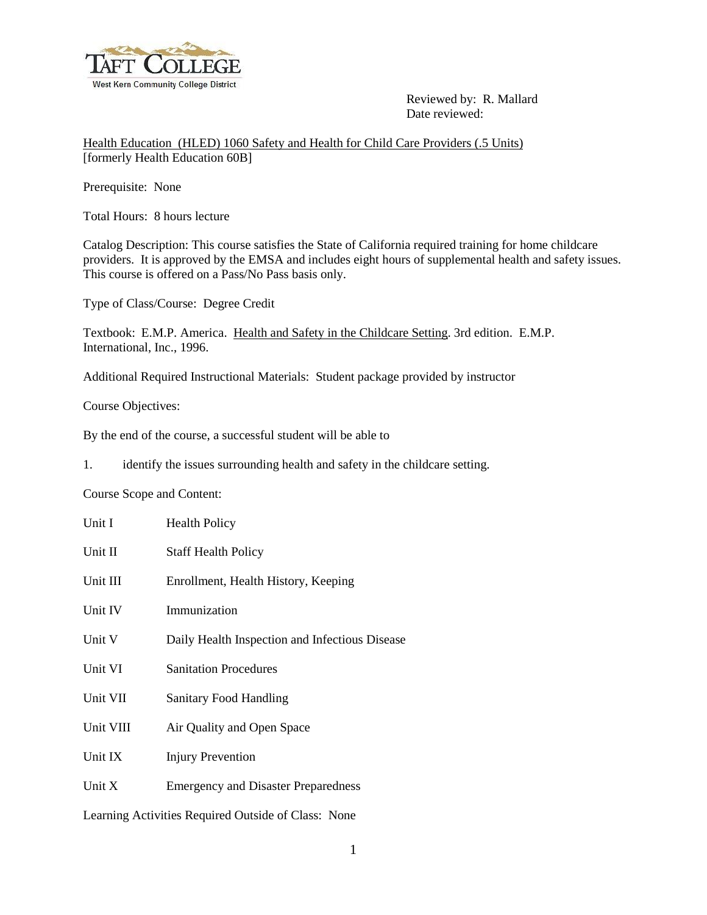

 Reviewed by: R. Mallard Date reviewed:

Health Education (HLED) 1060 Safety and Health for Child Care Providers (.5 Units) [formerly Health Education 60B]

Prerequisite: None

Total Hours: 8 hours lecture

Catalog Description: This course satisfies the State of California required training for home childcare providers. It is approved by the EMSA and includes eight hours of supplemental health and safety issues. This course is offered on a Pass/No Pass basis only.

Type of Class/Course: Degree Credit

Textbook: E.M.P. America. Health and Safety in the Childcare Setting. 3rd edition. E.M.P. International, Inc., 1996.

Additional Required Instructional Materials: Student package provided by instructor

Course Objectives:

By the end of the course, a successful student will be able to

1. identify the issues surrounding health and safety in the childcare setting.

Course Scope and Content:

| Unit I    | <b>Health Policy</b>                           |
|-----------|------------------------------------------------|
| Unit II   | <b>Staff Health Policy</b>                     |
| Unit III  | Enrollment, Health History, Keeping            |
| Unit IV   | Immunization                                   |
| Unit V    | Daily Health Inspection and Infectious Disease |
| Unit VI   | <b>Sanitation Procedures</b>                   |
| Unit VII  | <b>Sanitary Food Handling</b>                  |
| Unit VIII | Air Quality and Open Space                     |
| Unit IX   | <b>Injury Prevention</b>                       |
| Unit $X$  | <b>Emergency and Disaster Preparedness</b>     |
|           |                                                |

Learning Activities Required Outside of Class: None